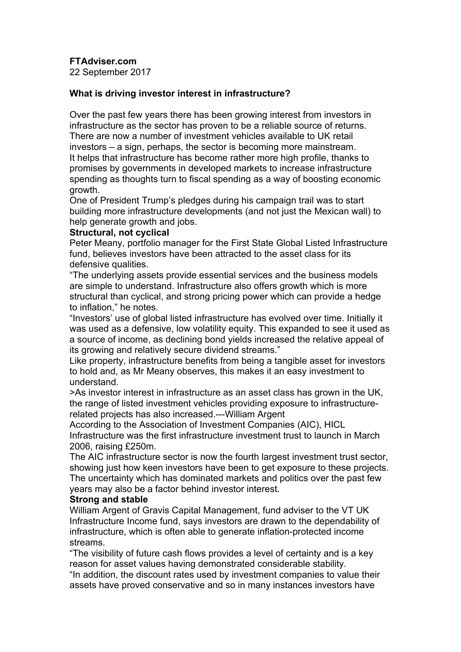**FTAdviser.com**

22 September 2017

# **What is driving investor interest in infrastructure?**

Over the past few years there has been growing interest from investors in infrastructure as the sector has proven to be a reliable source of returns. There are now a number of investment vehicles available to UK retail investors – a sign, perhaps, the sector is becoming more mainstream. It helps that infrastructure has become rather more high profile, thanks to promises by governments in developed markets to increase infrastructure spending as thoughts turn to fiscal spending as a way of boosting economic growth.

One of President Trump's pledges during his campaign trail was to start building more infrastructure developments (and not just the Mexican wall) to help generate growth and jobs.

## **Structural, not cyclical**

Peter Meany, portfolio manager for the First State Global Listed Infrastructure fund, believes investors have been attracted to the asset class for its defensive qualities.

"The underlying assets provide essential services and the business models are simple to understand. Infrastructure also offers growth which is more structural than cyclical, and strong pricing power which can provide a hedge to inflation," he notes.

"Investors' use of global listed infrastructure has evolved over time. Initially it was used as a defensive, low volatility equity. This expanded to see it used as a source of income, as declining bond yields increased the relative appeal of its growing and relatively secure dividend streams."

Like property, infrastructure benefits from being a tangible asset for investors to hold and, as Mr Meany observes, this makes it an easy investment to understand.

>As investor interest in infrastructure as an asset class has grown in the UK, the range of listed investment vehicles providing exposure to infrastructurerelated projects has also increased.---William Argent

According to the Association of Investment Companies (AIC), HICL

Infrastructure was the first infrastructure investment trust to launch in March 2006, raising £250m.

The AIC infrastructure sector is now the fourth largest investment trust sector, showing just how keen investors have been to get exposure to these projects. The uncertainty which has dominated markets and politics over the past few years may also be a factor behind investor interest.

## **Strong and stable**

William Argent of Gravis Capital Management, fund adviser to the VT UK Infrastructure Income fund, says investors are drawn to the dependability of infrastructure, which is often able to generate inflation-protected income streams.

"The visibility of future cash flows provides a level of certainty and is a key reason for asset values having demonstrated considerable stability.

"In addition, the discount rates used by investment companies to value their assets have proved conservative and so in many instances investors have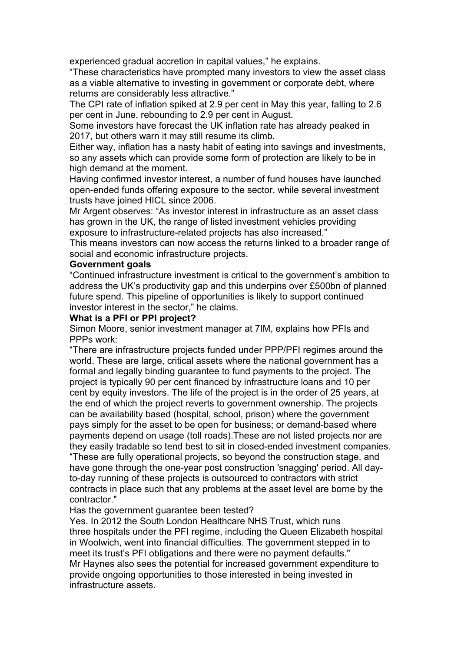experienced gradual accretion in capital values," he explains.

"These characteristics have prompted many investors to view the asset class as a viable alternative to investing in government or corporate debt, where returns are considerably less attractive."

The CPI rate of inflation spiked at 2.9 per cent in May this year, falling to 2.6 per cent in June, rebounding to 2.9 per cent in August.

Some investors have forecast the UK inflation rate has already peaked in 2017, but others warn it may still resume its climb.

Either way, inflation has a nasty habit of eating into savings and investments, so any assets which can provide some form of protection are likely to be in high demand at the moment.

Having confirmed investor interest, a number of fund houses have launched open-ended funds offering exposure to the sector, while several investment trusts have joined HICL since 2006.

Mr Argent observes: "As investor interest in infrastructure as an asset class has grown in the UK, the range of listed investment vehicles providing exposure to infrastructure-related projects has also increased."

This means investors can now access the returns linked to a broader range of social and economic infrastructure projects.

#### **Government goals**

"Continued infrastructure investment is critical to the government's ambition to address the UK's productivity gap and this underpins over £500bn of planned future spend. This pipeline of opportunities is likely to support continued investor interest in the sector," he claims.

#### **What is a PFI or PPI project?**

Simon Moore, senior investment manager at 7IM, explains how PFIs and PPPs work:

"There are infrastructure projects funded under PPP/PFI regimes around the world. These are large, critical assets where the national government has a formal and legally binding guarantee to fund payments to the project. The project is typically 90 per cent financed by infrastructure loans and 10 per cent by equity investors. The life of the project is in the order of 25 years, at the end of which the project reverts to government ownership. The projects can be availability based (hospital, school, prison) where the government pays simply for the asset to be open for business; or demand-based where payments depend on usage (toll roads).These are not listed projects nor are they easily tradable so tend best to sit in closed-ended investment companies.

"These are fully operational projects, so beyond the construction stage, and have gone through the one-year post construction 'snagging' period. All dayto-day running of these projects is outsourced to contractors with strict contracts in place such that any problems at the asset level are borne by the contractor."

Has the government guarantee been tested?

Yes. In 2012 the South London Healthcare NHS Trust, which runs three hospitals under the PFI regime, including the Queen Elizabeth hospital in Woolwich, went into financial difficulties. The government stepped in to meet its trust's PFI obligations and there were no payment defaults." Mr Haynes also sees the potential for increased government expenditure to provide ongoing opportunities to those interested in being invested in infrastructure assets.